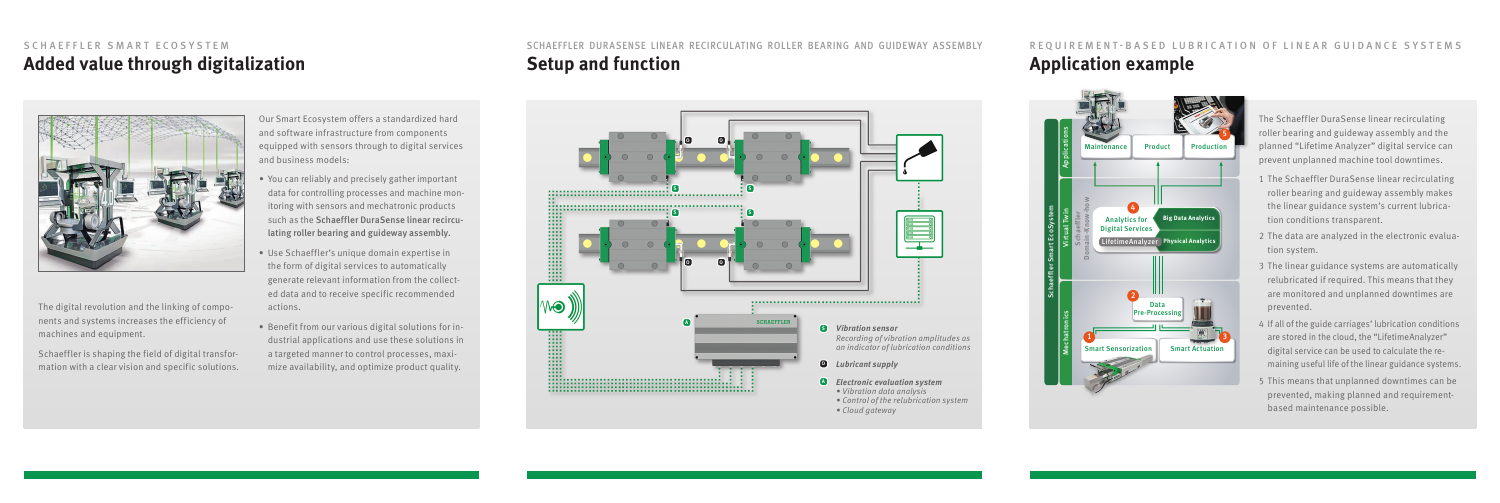The Schaeffler DuraSense linear recirculating roller bearing and guideway assembly and the planned "Lifetime Analyzer" digital service can prevent unplanned machine tool downtimes.

- 1 The Schaeffler DuraSense linear recirculating roller bearing and guideway assembly makes the linear guidance system's current lubrication conditions transparent.
- 2 The data are analyzed in the electronic evaluation system.
- 3 The linear guidance systems are automatically relubricated if required. This means that they are monitored and unplanned downtimes are prevented.
- 4 If all of the guide carriages' lubrication conditions are stored in the cloud, the "LifetimeAnalyzer" digital service can be used to calculate the remaining useful life of the linear guidance systems.
- 5 This means that unplanned downtimes can be prevented, making planned and requirementbased maintenance possible.

## SCHAEFFLER SMART ECOSYSTEM



The digital revolution and the linking of components and systems increases the efficiency of machines and equipment.

Schaeffler is shaping the field of digital transformation with a clear vision and specific solutions. Our Smart Ecosystem offers a standardized hard and software infrastructure from components equipped with sensors through to digital services and business models:

- *•* You can reliably and precisely gather important data for controlling processes and machine monitoring with sensors and mechatronic products such as the Schaeffler DuraSense linear recirculating roller bearing and guideway assembly.
- Use Schaeffler's unique domain expertise in the form of digital services to automatically generate relevant information from the collected data and to receive specific recommended actions.
- Benefit from our various digital solutions for industrial applications and use these solutions in a targeted manner to control processes, maximize availability, and optimize product quality.

## SCHAEFFLER DURASENSE LINEAR RECIRCULATING ROLLER BEARING AND GUIDEWAY ASSEMBLY REQUIREMENT-BASED LUBRICATION OF LINEAR GUIDANCE SYSTEMS Added value through digitalization **Setup and function Setup and function Application** example



*• Cloud gateway*